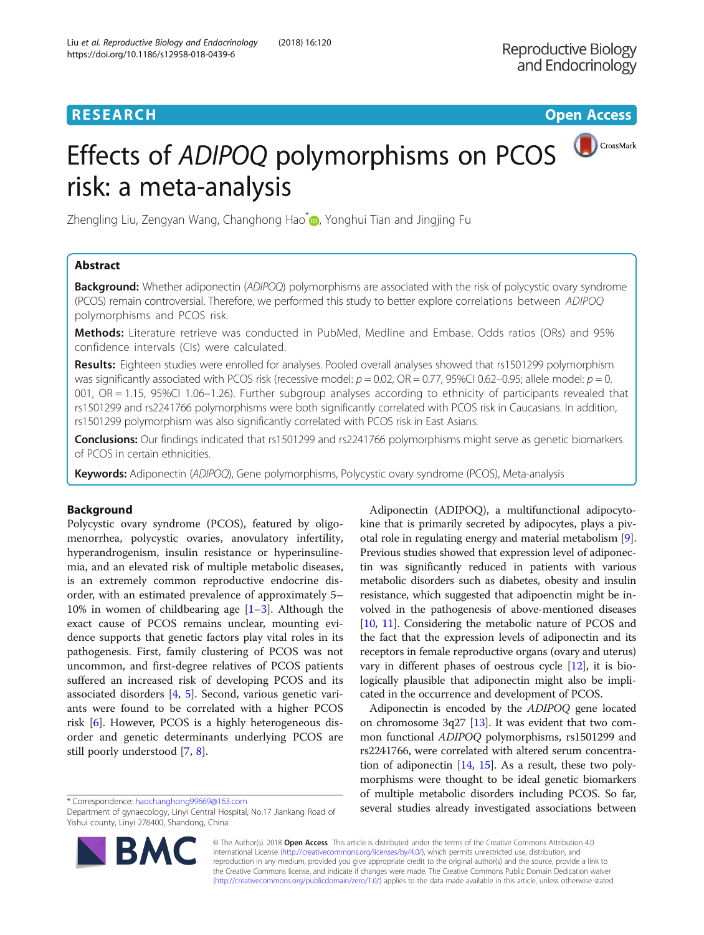# **RESEARCH CHEAR CHEAR CHEAR CHEAR CHEAR CHEAR CHEAR CHEAR CHEAR CHEAR CHEAR CHEAR CHEAR CHEAR CHEAR CHEAR CHEAR**



# CrossMark Effects of ADIPOQ polymorphisms on PCOS risk: a meta-analysis

Zhengling Liu, Zengyan Wang, Changhong Hao $^*$  $^*$  , Yonghui Tian and Jingjing Fu

# Abstract

**Background:** Whether adiponectin (ADIPOO) polymorphisms are associated with the risk of polycystic ovary syndrome (PCOS) remain controversial. Therefore, we performed this study to better explore correlations between ADIPOQ polymorphisms and PCOS risk.

Methods: Literature retrieve was conducted in PubMed, Medline and Embase. Odds ratios (ORs) and 95% confidence intervals (CIs) were calculated.

Results: Eighteen studies were enrolled for analyses. Pooled overall analyses showed that rs1501299 polymorphism was significantly associated with PCOS risk (recessive model:  $p = 0.02$ , OR = 0.77, 95%CI 0.62-0.95; allele model:  $p = 0$ . 001, OR = 1.15, 95%CI 1.06–1.26). Further subgroup analyses according to ethnicity of participants revealed that rs1501299 and rs2241766 polymorphisms were both significantly correlated with PCOS risk in Caucasians. In addition, rs1501299 polymorphism was also significantly correlated with PCOS risk in East Asians.

Conclusions: Our findings indicated that rs1501299 and rs2241766 polymorphisms might serve as genetic biomarkers of PCOS in certain ethnicities.

Keywords: Adiponectin (ADIPOQ), Gene polymorphisms, Polycystic ovary syndrome (PCOS), Meta-analysis

# Background

Polycystic ovary syndrome (PCOS), featured by oligomenorrhea, polycystic ovaries, anovulatory infertility, hyperandrogenism, insulin resistance or hyperinsulinemia, and an elevated risk of multiple metabolic diseases, is an extremely common reproductive endocrine disorder, with an estimated prevalence of approximately 5– 10% in women of childbearing age  $[1-3]$  $[1-3]$  $[1-3]$ . Although the exact cause of PCOS remains unclear, mounting evidence supports that genetic factors play vital roles in its pathogenesis. First, family clustering of PCOS was not uncommon, and first-degree relatives of PCOS patients suffered an increased risk of developing PCOS and its associated disorders [[4,](#page-5-0) [5\]](#page-5-0). Second, various genetic variants were found to be correlated with a higher PCOS risk [[6\]](#page-5-0). However, PCOS is a highly heterogeneous disorder and genetic determinants underlying PCOS are still poorly understood [[7,](#page-5-0) [8\]](#page-5-0).



Adiponectin is encoded by the ADIPOQ gene located on chromosome  $3q27$  [[13](#page-5-0)]. It was evident that two common functional ADIPOQ polymorphisms, rs1501299 and rs2241766, were correlated with altered serum concentration of adiponectin  $[14, 15]$  $[14, 15]$  $[14, 15]$  $[14, 15]$  $[14, 15]$ . As a result, these two polymorphisms were thought to be ideal genetic biomarkers of multiple metabolic disorders including PCOS. So far, several studies already investigated associations between \* Correspondence: [haochanghong99669@163.com](mailto:haochanghong99669@163.com)



© The Author(s). 2018 Open Access This article is distributed under the terms of the Creative Commons Attribution 4.0 International License [\(http://creativecommons.org/licenses/by/4.0/](http://creativecommons.org/licenses/by/4.0/)), which permits unrestricted use, distribution, and reproduction in any medium, provided you give appropriate credit to the original author(s) and the source, provide a link to the Creative Commons license, and indicate if changes were made. The Creative Commons Public Domain Dedication waiver [\(http://creativecommons.org/publicdomain/zero/1.0/](http://creativecommons.org/publicdomain/zero/1.0/)) applies to the data made available in this article, unless otherwise stated.

Department of gynaecology, Linyi Central Hospital, No.17 Jiankang Road of Yishui county, Linyi 276400, Shandong, China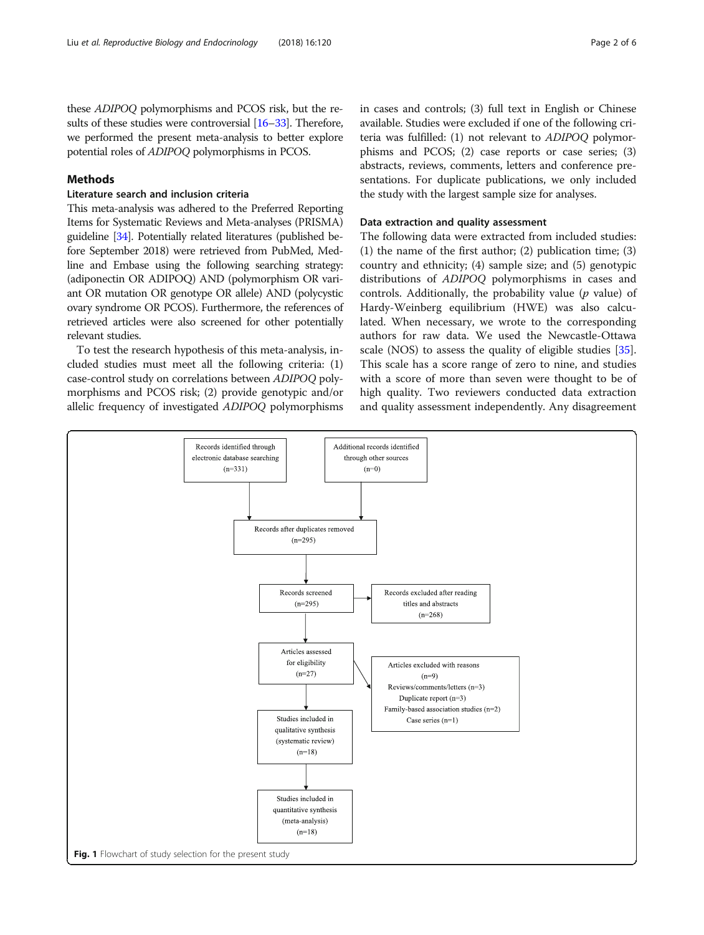<span id="page-1-0"></span>these ADIPOQ polymorphisms and PCOS risk, but the results of these studies were controversial [[16](#page-5-0)–[33](#page-5-0)]. Therefore, we performed the present meta-analysis to better explore potential roles of ADIPOQ polymorphisms in PCOS.

# Methods

# Literature search and inclusion criteria

This meta-analysis was adhered to the Preferred Reporting Items for Systematic Reviews and Meta-analyses (PRISMA) guideline [[34\]](#page-5-0). Potentially related literatures (published before September 2018) were retrieved from PubMed, Medline and Embase using the following searching strategy: (adiponectin OR ADIPOQ) AND (polymorphism OR variant OR mutation OR genotype OR allele) AND (polycystic ovary syndrome OR PCOS). Furthermore, the references of retrieved articles were also screened for other potentially relevant studies.

To test the research hypothesis of this meta-analysis, included studies must meet all the following criteria: (1) case-control study on correlations between ADIPOQ polymorphisms and PCOS risk; (2) provide genotypic and/or allelic frequency of investigated ADIPOQ polymorphisms in cases and controls; (3) full text in English or Chinese available. Studies were excluded if one of the following criteria was fulfilled: (1) not relevant to ADIPOQ polymorphisms and PCOS; (2) case reports or case series; (3) abstracts, reviews, comments, letters and conference presentations. For duplicate publications, we only included the study with the largest sample size for analyses.

### Data extraction and quality assessment

The following data were extracted from included studies: (1) the name of the first author; (2) publication time; (3) country and ethnicity; (4) sample size; and (5) genotypic distributions of ADIPOQ polymorphisms in cases and controls. Additionally, the probability value ( $p$  value) of Hardy-Weinberg equilibrium (HWE) was also calculated. When necessary, we wrote to the corresponding authors for raw data. We used the Newcastle-Ottawa scale (NOS) to assess the quality of eligible studies [\[35](#page-5-0)]. This scale has a score range of zero to nine, and studies with a score of more than seven were thought to be of high quality. Two reviewers conducted data extraction and quality assessment independently. Any disagreement

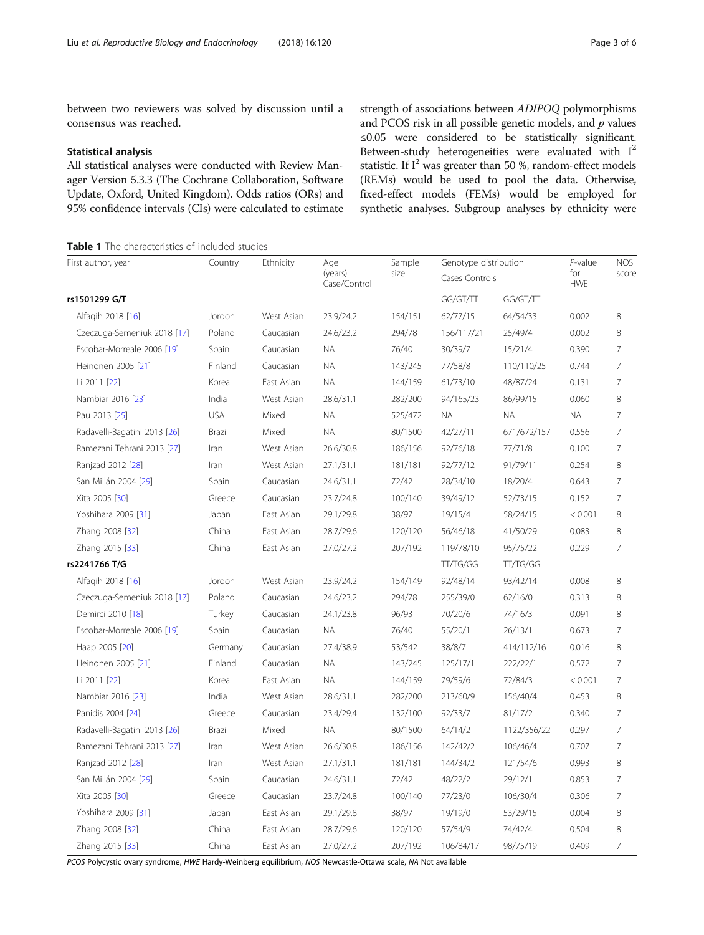<span id="page-2-0"></span>between two reviewers was solved by discussion until a consensus was reached.

### Statistical analysis

All statistical analyses were conducted with Review Manager Version 5.3.3 (The Cochrane Collaboration, Software Update, Oxford, United Kingdom). Odds ratios (ORs) and 95% confidence intervals (CIs) were calculated to estimate strength of associations between ADIPOQ polymorphisms and PCOS risk in all possible genetic models, and  $p$  values ≤0.05 were considered to be statistically significant. Between-study heterogeneities were evaluated with  $I^2$ statistic. If  $I^2$  was greater than 50 %, random-effect models (REMs) would be used to pool the data. Otherwise, fixed-effect models (FEMs) would be employed for synthetic analyses. Subgroup analyses by ethnicity were

**Table 1** The characteristics of included studies

| First author, year           | Country    | Ethnicity  | Age                     | Sample  | Genotype distribution |                 | P-value           | <b>NOS</b>      |
|------------------------------|------------|------------|-------------------------|---------|-----------------------|-----------------|-------------------|-----------------|
|                              |            |            | (years)<br>Case/Control | size    | Cases Controls        |                 | for<br><b>HWE</b> | score           |
| rs1501299 G/T                |            |            |                         |         | GG/GT/TT              | GG/GT/TT        |                   |                 |
| Alfaqih 2018 [16]            | Jordon     | West Asian | 23.9/24.2               | 154/151 | 62/77/15              | 64/54/33        | 0.002             | 8               |
| Czeczuga-Semeniuk 2018 [17]  | Poland     | Caucasian  | 24.6/23.2               | 294/78  | 156/117/21            | 25/49/4         | 0.002             | 8               |
| Escobar-Morreale 2006 [19]   | Spain      | Caucasian  | <b>NA</b>               | 76/40   | 30/39/7               | 15/21/4         | 0.390             | 7               |
| Heinonen 2005 [21]           | Finland    | Caucasian  | <b>NA</b>               | 143/245 | 77/58/8               | 110/110/25      | 0.744             | $\overline{7}$  |
| Li 2011 [22]                 | Korea      | East Asian | ΝA                      | 144/159 | 61/73/10              | 48/87/24        | 0.131             | $\overline{7}$  |
| Nambiar 2016 [23]            | India      | West Asian | 28.6/31.1               | 282/200 | 94/165/23             | 86/99/15        | 0.060             | 8               |
| Pau 2013 [25]                | <b>USA</b> | Mixed      | <b>NA</b>               | 525/472 | <b>NA</b>             | <b>NA</b>       | <b>NA</b>         | $\overline{7}$  |
| Radavelli-Bagatini 2013 [26] | Brazil     | Mixed      | <b>NA</b>               | 80/1500 | 42/27/11              | 671/672/157     | 0.556             | $\overline{7}$  |
| Ramezani Tehrani 2013 [27]   | Iran       | West Asian | 26.6/30.8               | 186/156 | 92/76/18              | 77/71/8         | 0.100             | $\overline{7}$  |
| Ranjzad 2012 [28]            | Iran       | West Asian | 27.1/31.1               | 181/181 | 92/77/12              | 91/79/11        | 0.254             | 8               |
| San Millán 2004 [29]         | Spain      | Caucasian  | 24.6/31.1               | 72/42   | 28/34/10              | 18/20/4         | 0.643             | $\overline{7}$  |
| Xita 2005 [30]               | Greece     | Caucasian  | 23.7/24.8               | 100/140 | 39/49/12              | 52/73/15        | 0.152             | $\overline{7}$  |
| Yoshihara 2009 [31]          | Japan      | East Asian | 29.1/29.8               | 38/97   | 19/15/4               | 58/24/15        | < 0.001           | 8               |
| Zhang 2008 [32]              | China      | East Asian | 28.7/29.6               | 120/120 | 56/46/18              | 41/50/29        | 0.083             | 8               |
| Zhang 2015 [33]              | China      | East Asian | 27.0/27.2               | 207/192 | 119/78/10             | 95/75/22        | 0.229             | $\overline{7}$  |
| rs2241766 T/G                |            |            |                         |         | TT/TG/GG              | <b>TT/TG/GG</b> |                   |                 |
| Alfaqih 2018 [16]            | Jordon     | West Asian | 23.9/24.2               | 154/149 | 92/48/14              | 93/42/14        | 0.008             | 8               |
| Czeczuga-Semeniuk 2018 [17]  | Poland     | Caucasian  | 24.6/23.2               | 294/78  | 255/39/0              | 62/16/0         | 0.313             | 8               |
| Demirci 2010 [18]            | Turkey     | Caucasian  | 24.1/23.8               | 96/93   | 70/20/6               | 74/16/3         | 0.091             | 8               |
| Escobar-Morreale 2006 [19]   | Spain      | Caucasian  | ΝA                      | 76/40   | 55/20/1               | 26/13/1         | 0.673             | $\overline{7}$  |
| Haap 2005 [20]               | Germany    | Caucasian  | 27.4/38.9               | 53/542  | 38/8/7                | 414/112/16      | 0.016             | 8               |
| Heinonen 2005 [21]           | Finland    | Caucasian  | <b>NA</b>               | 143/245 | 125/17/1              | 222/22/1        | 0.572             | 7               |
| Li 2011 [22]                 | Korea      | East Asian | <b>NA</b>               | 144/159 | 79/59/6               | 72/84/3         | < 0.001           | $\overline{7}$  |
| Nambiar 2016 [23]            | India      | West Asian | 28.6/31.1               | 282/200 | 213/60/9              | 156/40/4        | 0.453             | 8               |
| Panidis 2004 [24]            | Greece     | Caucasian  | 23.4/29.4               | 132/100 | 92/33/7               | 81/17/2         | 0.340             | 7               |
| Radavelli-Bagatini 2013 [26] | Brazil     | Mixed      | <b>NA</b>               | 80/1500 | 64/14/2               | 1122/356/22     | 0.297             | $7\overline{ }$ |
| Ramezani Tehrani 2013 [27]   | Iran       | West Asian | 26.6/30.8               | 186/156 | 142/42/2              | 106/46/4        | 0.707             | 7               |
| Ranjzad 2012 [28]            | Iran       | West Asian | 27.1/31.1               | 181/181 | 144/34/2              | 121/54/6        | 0.993             | 8               |
| San Millán 2004 [29]         | Spain      | Caucasian  | 24.6/31.1               | 72/42   | 48/22/2               | 29/12/1         | 0.853             | $\overline{7}$  |
| Xita 2005 [30]               | Greece     | Caucasian  | 23.7/24.8               | 100/140 | 77/23/0               | 106/30/4        | 0.306             | $\overline{7}$  |
| Yoshihara 2009 [31]          | Japan      | East Asian | 29.1/29.8               | 38/97   | 19/19/0               | 53/29/15        | 0.004             | 8               |
| Zhang 2008 [32]              | China      | East Asian | 28.7/29.6               | 120/120 | 57/54/9               | 74/42/4         | 0.504             | 8               |
| Zhang 2015 [33]              | China      | East Asian | 27.0/27.2               | 207/192 | 106/84/17             | 98/75/19        | 0.409             | $\overline{7}$  |

PCOS Polycystic ovary syndrome, HWE Hardy-Weinberg equilibrium, NOS Newcastle-Ottawa scale, NA Not available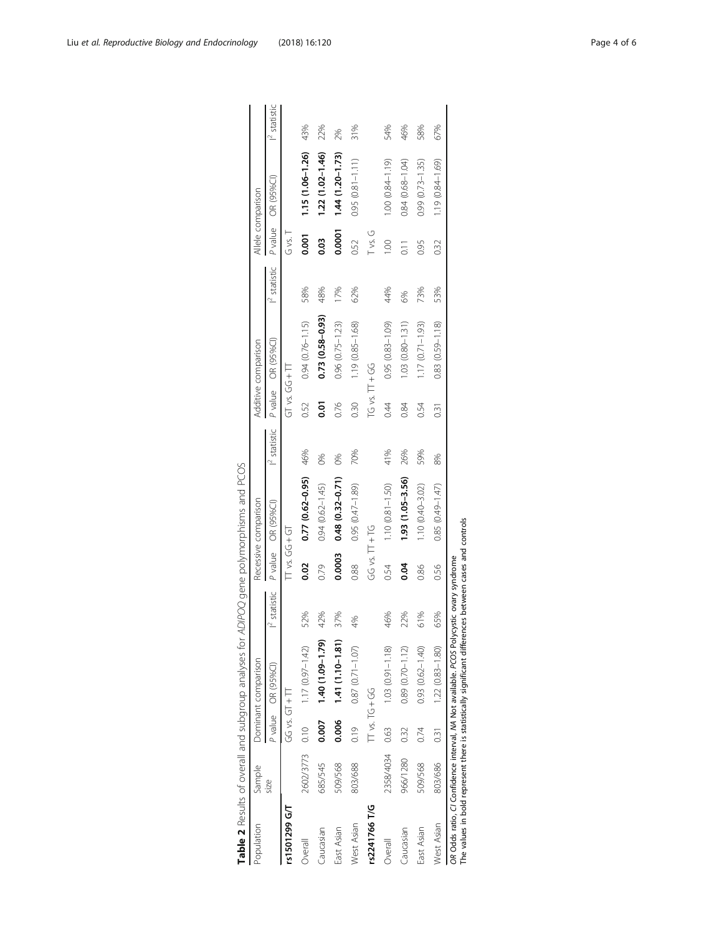<span id="page-3-0"></span>

| Population    | Sample    |                    | Dominant comparison              |                          |                | Recessive comparison         |                 |                    | Additive comparison |                 |                | Allele comparison      |                 |
|---------------|-----------|--------------------|----------------------------------|--------------------------|----------------|------------------------------|-----------------|--------------------|---------------------|-----------------|----------------|------------------------|-----------------|
|               | S         |                    | P value OR (95%Cl)               | $\mathsf{I}^2$ statistic | P value        | OR (95%CI)                   | $l^2$ statistic |                    | P value OR (95%Cl)  | $I^2$ statistic | P value        | OR (95%CI)             | $l^2$ statistic |
| rs1501299 G/T |           | $GG \vee S \vee T$ |                                  |                          |                |                              |                 | $GT \vee S.G + T$  |                     |                 | G vs. T        |                        |                 |
| Overall       |           |                    | 2602/3773 0.10 1.17 (0.97-1.42)  | 52%                      | 0.02           | $0.77$ ( $0.62 - 0.95$ ) 46% |                 | 0.52               | $0.94(0.76 - 1.15)$ | 58%             | 0.001          | 1.15 (1.06-1.26)       | 43%             |
| Caucasian     | 685/545   |                    | $(0.007 \t 1.40 \t (1.09-1.79))$ | 42%                      | 0.79           | $0.94(0.62 - 1.45)$          | 0%              | 5c                 | $0.73(0.58-0.93)$   | 48%             | 0.03           | 1.22 (1.02-1.46)       | 22%             |
| East Asian    | 509/568   | 0.006              | $1.41(1.10 - 1.81)$              | 37%                      | 0.0003         | $0.48(0.32 - 0.71)$          | $\frac{6}{3}$   | 0.76               | $0.96(0.75 - 1.23)$ | 17%             | 0.0001         | $1.44(1.20 - 1.73)$    | 2%              |
| West Asian    | 803/688   | 0.19               | $0.87(0.71 - 1.07)$              | 4%                       | 0.88           | $0.95(0.47 - 1.89)$          | 70%             | 0.30               | 1.19 (0.85-1.68)    | 62%             | 0.52           | $0.95$ $(0.81 - 1.11)$ | 31%             |
| rs2241766 T/G |           | TT vs. TG + GG     |                                  |                          | GG vs. TT + TG |                              |                 | $TG$ vs. $TT + GG$ |                     |                 | Tvs. G         |                        |                 |
| Overall       | 2358/4034 | 0.63               | $1.03(0.91 - 1.18)$              | 46%                      | 0.54           | $1.10(0.81 - 1.50)$          | 41%             | 0:44               | $0.95(0.83 - 1.09)$ | 44%             | 001            | 1.00 (0.84-1.19)       | 54%             |
| Caucasian     | 966/1280  | 0.32               | $0.89(0.70 - 1.12)$              | 22%                      | 0.04           | $1.93(1.05 - 3.56)$          | 26%             | 0.84               | $1.03(0.80 - 1.31)$ | 6%              | $\overline{c}$ | $0.84(0.68 - 1.04)$    | 46%             |
| East Asian    | 509/568   | 0.74               | $0.93$ $(0.62 - 1.40)$           | 61%                      | 0.86           | $1.10(0.40 - 3.02)$          | 59%             | 0.54               | $1.17(0.71 - 1.93)$ | 73%             | 0.95           | $0.99(0.73 - 1.35)$    | 58%             |
| West Asian    | 803/686   | $\overline{0.31}$  | $1.22(0.83 - 1.80)$              | 65%                      | 0.56           | 0.85 (0.49-1.47)             | 8%              | 0.31               | 0.83 (0.59-1.18)    | 53%             | 032            | 1.19 (0.84-1.69)       | 67%             |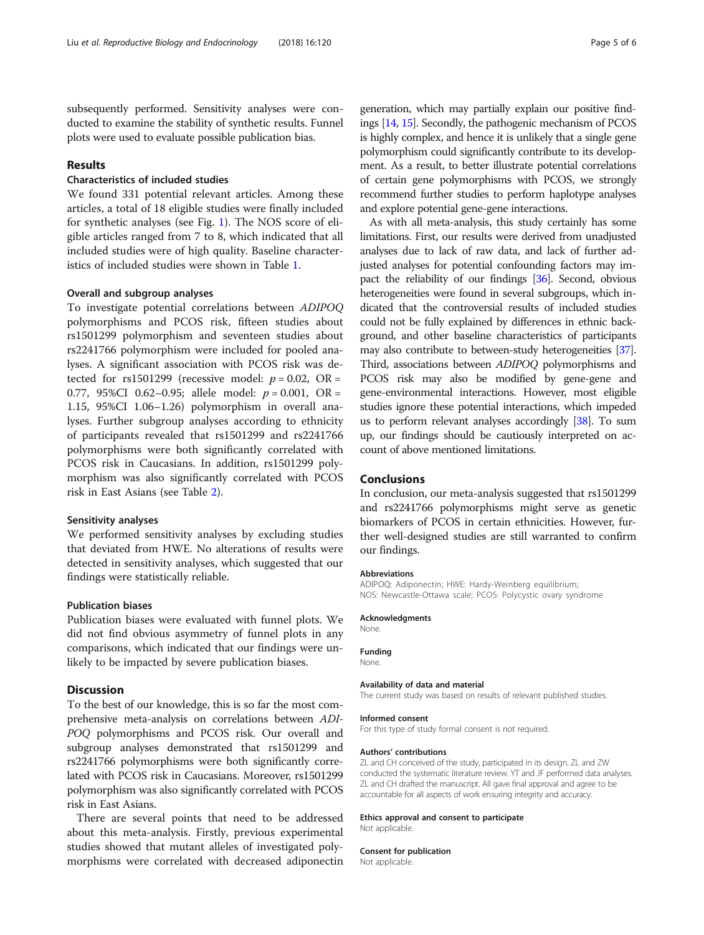subsequently performed. Sensitivity analyses were conducted to examine the stability of synthetic results. Funnel plots were used to evaluate possible publication bias.

## Results

## Characteristics of included studies

We found 331 potential relevant articles. Among these articles, a total of 18 eligible studies were finally included for synthetic analyses (see Fig. [1\)](#page-1-0). The NOS score of eligible articles ranged from 7 to 8, which indicated that all included studies were of high quality. Baseline characteristics of included studies were shown in Table [1.](#page-2-0)

### Overall and subgroup analyses

To investigate potential correlations between ADIPOQ polymorphisms and PCOS risk, fifteen studies about rs1501299 polymorphism and seventeen studies about rs2241766 polymorphism were included for pooled analyses. A significant association with PCOS risk was detected for rs1501299 (recessive model:  $p = 0.02$ , OR = 0.77, 95%CI 0.62-0.95; allele model:  $p = 0.001$ , OR = 1.15, 95%CI 1.06–1.26) polymorphism in overall analyses. Further subgroup analyses according to ethnicity of participants revealed that rs1501299 and rs2241766 polymorphisms were both significantly correlated with PCOS risk in Caucasians. In addition, rs1501299 polymorphism was also significantly correlated with PCOS risk in East Asians (see Table [2\)](#page-3-0).

#### Sensitivity analyses

We performed sensitivity analyses by excluding studies that deviated from HWE. No alterations of results were detected in sensitivity analyses, which suggested that our findings were statistically reliable.

## Publication biases

Publication biases were evaluated with funnel plots. We did not find obvious asymmetry of funnel plots in any comparisons, which indicated that our findings were unlikely to be impacted by severe publication biases.

# **Discussion**

To the best of our knowledge, this is so far the most comprehensive meta-analysis on correlations between ADI-POQ polymorphisms and PCOS risk. Our overall and subgroup analyses demonstrated that rs1501299 and rs2241766 polymorphisms were both significantly correlated with PCOS risk in Caucasians. Moreover, rs1501299 polymorphism was also significantly correlated with PCOS risk in East Asians.

There are several points that need to be addressed about this meta-analysis. Firstly, previous experimental studies showed that mutant alleles of investigated polymorphisms were correlated with decreased adiponectin

generation, which may partially explain our positive findings [\[14](#page-5-0), [15](#page-5-0)]. Secondly, the pathogenic mechanism of PCOS is highly complex, and hence it is unlikely that a single gene polymorphism could significantly contribute to its development. As a result, to better illustrate potential correlations of certain gene polymorphisms with PCOS, we strongly recommend further studies to perform haplotype analyses and explore potential gene-gene interactions.

As with all meta-analysis, this study certainly has some limitations. First, our results were derived from unadjusted analyses due to lack of raw data, and lack of further adjusted analyses for potential confounding factors may impact the reliability of our findings [[36](#page-5-0)]. Second, obvious heterogeneities were found in several subgroups, which indicated that the controversial results of included studies could not be fully explained by differences in ethnic background, and other baseline characteristics of participants may also contribute to between-study heterogeneities [\[37](#page-5-0)]. Third, associations between ADIPOQ polymorphisms and PCOS risk may also be modified by gene-gene and gene-environmental interactions. However, most eligible studies ignore these potential interactions, which impeded us to perform relevant analyses accordingly [\[38](#page-5-0)]. To sum up, our findings should be cautiously interpreted on account of above mentioned limitations.

#### Conclusions

In conclusion, our meta-analysis suggested that rs1501299 and rs2241766 polymorphisms might serve as genetic biomarkers of PCOS in certain ethnicities. However, further well-designed studies are still warranted to confirm our findings.

#### Abbreviations

ADIPOQ: Adiponectin; HWE: Hardy-Weinberg equilibrium; NOS: Newcastle-Ottawa scale; PCOS: Polycystic ovary syndrome

#### Acknowledgments

None.

#### Funding

None.

#### Availability of data and material

The current study was based on results of relevant published studies.

#### Informed consent

For this type of study formal consent is not required.

#### Authors' contributions

ZL and CH conceived of the study, participated in its design. ZL and ZW conducted the systematic literature review. YT and JF performed data analyses. ZL and CH drafted the manuscript. All gave final approval and agree to be accountable for all aspects of work ensuring integrity and accuracy.

#### Ethics approval and consent to participate

Not applicable.

# Consent for publication

Not applicable.